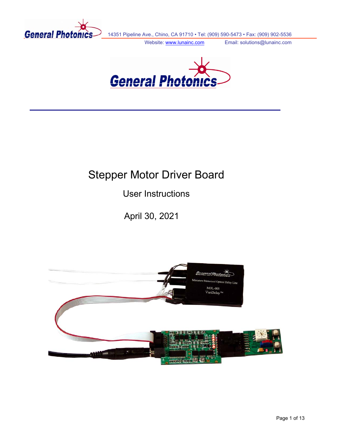

14351 Pipeline Ave., Chino, CA 91710 • Tel: (909) 590-5473 • Fax: (909) 902-5536

Website: www.lunainc.com Email: solutions@lunainc.com



# Stepper Motor Driver Board

User Instructions

April 30, 2021

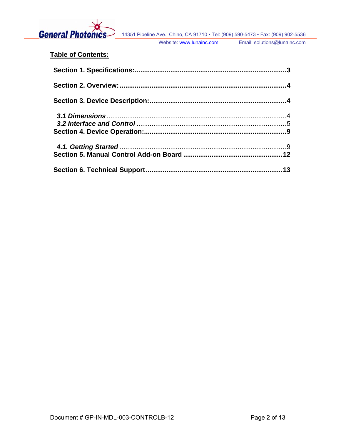

# **Table of Contents:**

| 13 |
|----|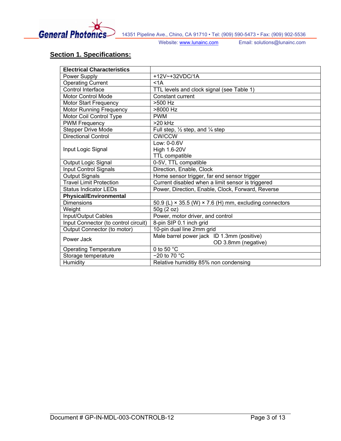<span id="page-2-0"></span>

# **Section 1. Specifications:**

| <b>Electrical Characteristics</b>    |                                                                      |  |  |
|--------------------------------------|----------------------------------------------------------------------|--|--|
| Power Supply                         | +12V~+32VDC/1A                                                       |  |  |
| <b>Operating Current</b>             | < 1A                                                                 |  |  |
| Control Interface                    | TTL levels and clock signal (see Table 1)                            |  |  |
| <b>Motor Control Mode</b>            | Constant current                                                     |  |  |
| <b>Motor Start Frequency</b>         | >500 Hz                                                              |  |  |
| <b>Motor Running Frequency</b>       | >8000 Hz                                                             |  |  |
| Motor Coil Control Type              | <b>PWM</b>                                                           |  |  |
| <b>PWM Frequency</b>                 | $>20$ kHz                                                            |  |  |
| <b>Stepper Drive Mode</b>            | Full step, $\frac{1}{2}$ step, and $\frac{1}{4}$ step                |  |  |
| <b>Directional Control</b>           | <b>CW/CCW</b>                                                        |  |  |
|                                      | Low: 0-0.6V                                                          |  |  |
| Input Logic Signal                   | High 1.6-20V                                                         |  |  |
|                                      | <b>TTL compatible</b>                                                |  |  |
| <b>Output Logic Signal</b>           | 0-5V, TTL compatible                                                 |  |  |
| Input Control Signals                | Direction, Enable, Clock                                             |  |  |
| <b>Output Signals</b>                | Home sensor trigger, far end sensor trigger                          |  |  |
| <b>Travel Limit Protection</b>       | Current disabled when a limit sensor is triggered                    |  |  |
| <b>Status Indicator LEDs</b>         | Power, Direction, Enable, Clock, Forward, Reverse                    |  |  |
| <b>Physical/Environmental</b>        |                                                                      |  |  |
| <b>Dimensions</b>                    | 50.9 (L) $\times$ 35.5 (W) $\times$ 7.6 (H) mm, excluding connectors |  |  |
| Weight                               | 50g (2 oz)                                                           |  |  |
| Input/Output Cables                  | Power, motor driver, and control                                     |  |  |
| Input Connector (to control circuit) | 8-pin SIP 0.1 inch grid                                              |  |  |
| Output Connector (to motor)          | 10-pin dual line 2mm grid                                            |  |  |
| Power Jack                           | Male barrel power jack ID 1.3mm (positive)                           |  |  |
|                                      | OD 3.8mm (negative)                                                  |  |  |
| <b>Operating Temperature</b>         | 0 to 50 °C                                                           |  |  |
| Storage temperature                  | $-20$ to 70 $^{\circ}$ C                                             |  |  |
| Humidity                             | Relative humiditiy 85% non condensing                                |  |  |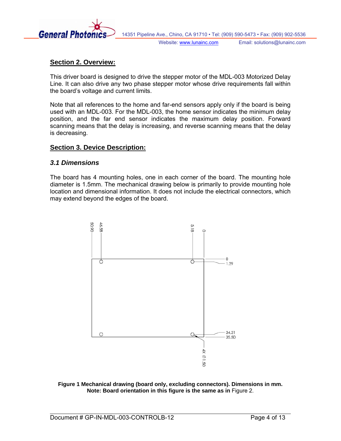<span id="page-3-0"></span>

## **Section 2. Overview:**

This driver board is designed to drive the stepper motor of the MDL-003 Motorized Delay Line. It can also drive any two phase stepper motor whose drive requirements fall within the board's voltage and current limits.

Note that all references to the home and far-end sensors apply only if the board is being used with an MDL-003. For the MDL-003, the home sensor indicates the minimum delay position, and the far end sensor indicates the maximum delay position. Forward scanning means that the delay is increasing, and reverse scanning means that the delay is decreasing.

#### **Section 3. Device Description:**

#### *3.1 Dimensions*

The board has 4 mounting holes, one in each corner of the board. The mounting hole diameter is 1.5mm. The mechanical drawing below is primarily to provide mounting hole location and dimensional information. It does not include the electrical connectors, which may extend beyond the edges of the board.



**Figure 1 Mechanical drawing (board only, excluding connectors). Dimensions in mm. Note: Board orientation in this figure is the same as in** [Figure 2.](#page-4-1)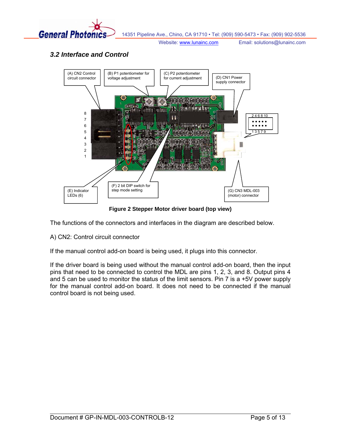<span id="page-4-0"></span>

# *3.2 Interface and Control*



**Figure 2 Stepper Motor driver board (top view)** 

<span id="page-4-1"></span>The functions of the connectors and interfaces in the diagram are described below.

A) CN2: Control circuit connector

If the manual control add-on board is being used, it plugs into this connector.

If the driver board is being used without the manual control add-on board, then the input pins that need to be connected to control the MDL are pins 1, 2, 3, and 8. Output pins 4 and 5 can be used to monitor the status of the limit sensors. Pin 7 is a +5V power supply for the manual control add-on board. It does not need to be connected if the manual control board is not being used.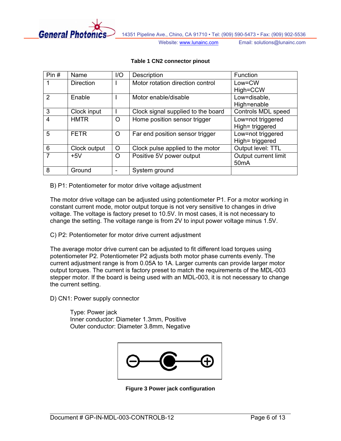

#### **Table 1 CN2 connector pinout**

<span id="page-5-0"></span>

| Pin#           | Name             | I/O | Description                        | Function             |
|----------------|------------------|-----|------------------------------------|----------------------|
|                | <b>Direction</b> |     | Motor rotation direction control   | Low=CW               |
|                |                  |     |                                    | High=CCW             |
| $\overline{2}$ | Enable           |     | Motor enable/disable               | Low=disable,         |
|                |                  |     |                                    | High=enable          |
| 3              | Clock input      |     | Clock signal supplied to the board | Controls MDL speed   |
| 4              | <b>HMTR</b>      | O   | Home position sensor trigger       | Low=not triggered    |
|                |                  |     |                                    | High= triggered      |
| 5              | <b>FETR</b>      | O   | Far end position sensor trigger    | Low=not triggered    |
|                |                  |     |                                    | High= triggered      |
| 6              | Clock output     | O   | Clock pulse applied to the motor   | Output level: TTL    |
| 7              | $+5V$            | O   | Positive 5V power output           | Output current limit |
|                |                  |     |                                    | 50 <sub>m</sub> A    |
| 8              | Ground           |     | System ground                      |                      |

B) P1: Potentiometer for motor drive voltage adjustment

The motor drive voltage can be adjusted using potentiometer P1. For a motor working in constant current mode, motor output torque is not very sensitive to changes in drive voltage. The voltage is factory preset to 10.5V. In most cases, it is not necessary to change the setting. The voltage range is from 2V to input power voltage minus 1.5V.

C) P2: Potentiometer for motor drive current adjustment

The average motor drive current can be adjusted to fit different load torques using potentiometer P2. Potentiometer P2 adjusts both motor phase currents evenly. The current adjustment range is from 0.05A to 1A. Larger currents can provide larger motor output torques. The current is factory preset to match the requirements of the MDL-003 stepper motor. If the board is being used with an MDL-003, it is not necessary to change the current setting.

D) CN1: Power supply connector

Type: Power jack Inner conductor: Diameter 1.3mm, Positive Outer conductor: Diameter 3.8mm, Negative



**Figure 3 Power jack configuration**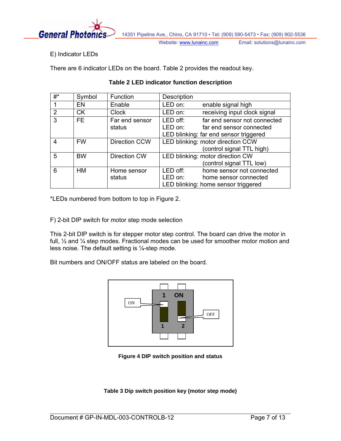

E) Indicator LEDs

<span id="page-6-0"></span>There are 6 indicator LEDs on the board. [Table 2](#page-6-0) provides the readout key.

| $\#^*$ | Symbol    | Function             | Description                       |                                        |  |
|--------|-----------|----------------------|-----------------------------------|----------------------------------------|--|
|        | EN        | Enable               | LED on:                           | enable signal high                     |  |
| 2      | <b>CK</b> | <b>Clock</b>         | LED on:                           | receiving input clock signal           |  |
| 3      | <b>FE</b> | Far end sensor       | LED off:                          | far end sensor not connected           |  |
|        |           | status               | LED on:                           | far end sensor connected               |  |
|        |           |                      |                                   | LED blinking: far end sensor triggered |  |
| 4      | <b>FW</b> | <b>Direction CCW</b> | LED blinking: motor direction CCW |                                        |  |
|        |           |                      |                                   | (control signal TTL high)              |  |
| 5      | <b>BW</b> | Direction CW         | LED blinking: motor direction CW  |                                        |  |
|        |           |                      |                                   | (control signal TTL low)               |  |
| 6      | HМ        | Home sensor          | LED off:                          | home sensor not connected              |  |
|        |           | status               | LED on:                           | home sensor connected                  |  |
|        |           |                      |                                   | LED blinking: home sensor triggered    |  |

## **Table 2 LED indicator function description**

\*LEDs numbered from bottom to top in [Figure 2](#page-4-1).

F) 2-bit DIP switch for motor step mode selection

This 2-bit DIP switch is for stepper motor step control. The board can drive the motor in full, ½ and ¼ step modes. Fractional modes can be used for smoother motor motion and less noise. The default setting is  $\frac{1}{4}$ -step mode.

Bit numbers and ON/OFF status are labeled on the board.



**Figure 4 DIP switch position and status** 

**Table 3 Dip switch position key (motor step mode)**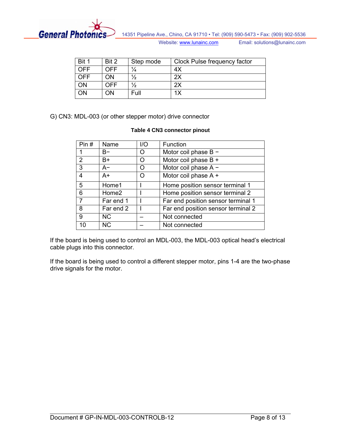

| Bit 1      | Bit 2 | Step mode     | Clock Pulse frequency factor |
|------------|-------|---------------|------------------------------|
| OFF        | OFF   | $\frac{1}{4}$ | 4X                           |
| <b>OFF</b> | ΟN    | $\frac{1}{2}$ | 2X                           |
| ΟN         | OFF   | $\frac{1}{2}$ | 2X                           |
| ΟN         | OΝ    | Full          | 1Х                           |

G) CN3: MDL-003 (or other stepper motor) drive connector

#### **Table 4 CN3 connector pinout**

| Pin# | Name              | 1/O | Function                           |
|------|-------------------|-----|------------------------------------|
| 1    | $B-$              | O   | Motor coil phase $B -$             |
| 2    | B+                | O   | Motor coil phase B +               |
| 3    | $A-$              | O   | Motor coil phase A -               |
| 4    | A+                | O   | Motor coil phase A +               |
| 5    | Home1             |     | Home position sensor terminal 1    |
| 6    | Home <sub>2</sub> |     | Home position sensor terminal 2    |
| 7    | Far end 1         |     | Far end position sensor terminal 1 |
| 8    | Far end 2         |     | Far end position sensor terminal 2 |
| 9    | <b>NC</b>         |     | Not connected                      |
| 10   | <b>NC</b>         |     | Not connected                      |

If the board is being used to control an MDL-003, the MDL-003 optical head's electrical cable plugs into this connector.

If the board is being used to control a different stepper motor, pins 1-4 are the two-phase drive signals for the motor.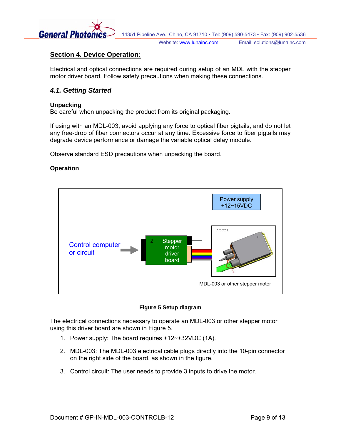<span id="page-8-0"></span>

# **Section 4. Device Operation:**

Electrical and optical connections are required during setup of an MDL with the stepper motor driver board. Follow safety precautions when making these connections.

## *4.1. Getting Started*

#### **Unpacking**

Be careful when unpacking the product from its original packaging.

If using with an MDL-003, avoid applying any force to optical fiber pigtails, and do not let any free-drop of fiber connectors occur at any time. Excessive force to fiber pigtails may degrade device performance or damage the variable optical delay module.

Observe standard ESD precautions when unpacking the board.

#### **Operation**



#### **Figure 5 Setup diagram**

<span id="page-8-1"></span>The electrical connections necessary to operate an MDL-003 or other stepper motor using this driver board are shown in [Figure 5.](#page-8-1)

- 1. Power supply: The board requires +12~+32VDC (1A).
- 2. MDL-003: The MDL-003 electrical cable plugs directly into the 10-pin connector on the right side of the board, as shown in the figure.
- 3. Control circuit: The user needs to provide 3 inputs to drive the motor.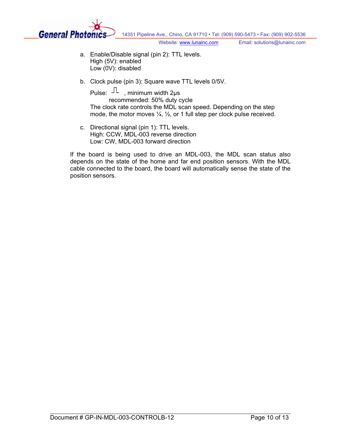

- a. Enable/Disable signal (pin 2): TTL levels. High (5V): enabled Low (0V): disabled
- b. Clock pulse (pin 3): Square wave TTL levels 0/5V.

Pulse:  $\mathbb{L}$ , minimum width 2 $\mu$ s recommended: 50% duty cycle The clock rate controls the MDL scan speed. Depending on the step mode, the motor moves  $\frac{1}{4}$ ,  $\frac{1}{2}$ , or 1 full step per clock pulse received.

c. Directional signal (pin 1): TTL levels. High: CCW, MDL-003 reverse direction Low: CW, MDL-003 forward direction

If the board is being used to drive an MDL-003, the MDL scan status also depends on the state of the home and far end position sensors. With the MDL cable connected to the board, the board will automatically sense the state of the position sensors.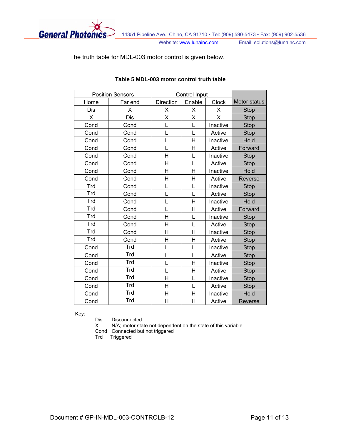

The truth table for MDL-003 motor control is given below.

|            | <b>Position Sensors</b> | Control Input    |        |              |              |
|------------|-------------------------|------------------|--------|--------------|--------------|
| Home       | Far end                 | <b>Direction</b> | Enable | <b>Clock</b> | Motor status |
| Dis        | х                       | Χ                | х      | х            | <b>Stop</b>  |
| X          | Dis                     | Χ                | X      | X            | <b>Stop</b>  |
| Cond       | Cond                    | L                | L      | Inactive     | <b>Stop</b>  |
| Cond       | Cond                    | L                | L      | Active       | Stop         |
| Cond       | Cond                    | L                | H      | Inactive     | Hold         |
| Cond       | Cond                    | L                | Η      | Active       | Forward      |
| Cond       | Cond                    | H                | L      | Inactive     | <b>Stop</b>  |
| Cond       | Cond                    | Η                | L      | Active       | <b>Stop</b>  |
| Cond       | Cond                    | H                | H      | Inactive     | Hold         |
| Cond       | Cond                    | H                | H      | Active       | Reverse      |
| Trd        | Cond                    |                  | L      | Inactive     | <b>Stop</b>  |
| <b>Trd</b> | Cond                    |                  | L      | Active       | <b>Stop</b>  |
| <b>Trd</b> | Cond                    | L                | H      | Inactive     | Hold         |
| Trd        | Cond                    | L                | Η      | Active       | Forward      |
| Trd        | Cond                    | H                | L      | Inactive     | <b>Stop</b>  |
| <b>Trd</b> | Cond                    | H                | L      | Active       | <b>Stop</b>  |
| <b>Trd</b> | Cond                    | Η                | Η      | Inactive     | <b>Stop</b>  |
| Trd        | Cond                    | Η                | H      | Active       | <b>Stop</b>  |
| Cond       | Trd                     | L                | L      | Inactive     | <b>Stop</b>  |
| Cond       | Trd                     | L                | L      | Active       | <b>Stop</b>  |
| Cond       | Trd                     | L                | H      | Inactive     | <b>Stop</b>  |
| Cond       | Trd                     | L                | Η      | Active       | <b>Stop</b>  |
| Cond       | Trd                     | H                | L      | Inactive     | <b>Stop</b>  |
| Cond       | Trd                     | Η                | L      | Active       | <b>Stop</b>  |
| Cond       | <b>Trd</b>              | Η                | Η      | Inactive     | Hold         |
| Cond       | Trd                     | H                | H      | Active       | Reverse      |

#### **Table 5 MDL-003 motor control truth table**

Key:

Dis Disconnected<br>X N/A; motor sta

N/A; motor state not dependent on the state of this variable

Cond Connected but not triggered

Trd Triggered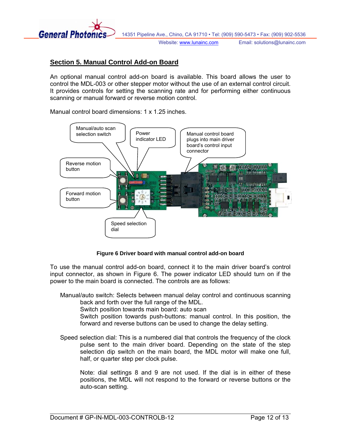<span id="page-11-0"></span>

## **Section 5. Manual Control Add-on Board**

An optional manual control add-on board is available. This board allows the user to control the MDL-003 or other stepper motor without the use of an external control circuit. It provides controls for setting the scanning rate and for performing either continuous scanning or manual forward or reverse motion control.

Manual control board dimensions: 1 x 1.25 inches.



**Figure 6 Driver board with manual control add-on board** 

<span id="page-11-1"></span>To use the manual control add-on board, connect it to the main driver board's control input connector, as shown in [Figure 6.](#page-11-1) The power indicator LED should turn on if the power to the main board is connected. The controls are as follows:

Manual/auto switch: Selects between manual delay control and continuous scanning back and forth over the full range of the MDL.

Switch position towards main board: auto scan

Switch position towards push-buttons: manual control. In this position, the forward and reverse buttons can be used to change the delay setting.

Speed selection dial: This is a numbered dial that controls the frequency of the clock pulse sent to the main driver board. Depending on the state of the step selection dip switch on the main board, the MDL motor will make one full, half, or quarter step per clock pulse.

Note: dial settings 8 and 9 are not used. If the dial is in either of these positions, the MDL will not respond to the forward or reverse buttons or the auto-scan setting.